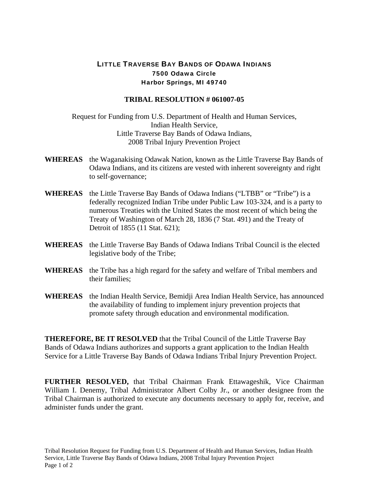## LITTLE TRAVERSE BAY BANDS OF ODAWA INDIANS 7500 Odawa Circle Harbor Springs, MI 49740

## **TRIBAL RESOLUTION # 061007-05**

Request for Funding from U.S. Department of Health and Human Services, Indian Health Service, Little Traverse Bay Bands of Odawa Indians, 2008 Tribal Injury Prevention Project

- **WHEREAS** the Waganakising Odawak Nation, known as the Little Traverse Bay Bands of Odawa Indians, and its citizens are vested with inherent sovereignty and right to self-governance;
- **WHEREAS** the Little Traverse Bay Bands of Odawa Indians ("LTBB" or "Tribe") is a federally recognized Indian Tribe under Public Law 103-324, and is a party to numerous Treaties with the United States the most recent of which being the Treaty of Washington of March 28, 1836 (7 Stat. 491) and the Treaty of Detroit of 1855 (11 Stat. 621);
- **WHEREAS** the Little Traverse Bay Bands of Odawa Indians Tribal Council is the elected legislative body of the Tribe;
- **WHEREAS** the Tribe has a high regard for the safety and welfare of Tribal members and their families;
- **WHEREAS** the Indian Health Service, Bemidji Area Indian Health Service, has announced the availability of funding to implement injury prevention projects that promote safety through education and environmental modification.

**THEREFORE, BE IT RESOLVED** that the Tribal Council of the Little Traverse Bay Bands of Odawa Indians authorizes and supports a grant application to the Indian Health Service for a Little Traverse Bay Bands of Odawa Indians Tribal Injury Prevention Project.

**FURTHER RESOLVED,** that Tribal Chairman Frank Ettawageshik, Vice Chairman William I. Denemy, Tribal Administrator Albert Colby Jr., or another designee from the Tribal Chairman is authorized to execute any documents necessary to apply for, receive, and administer funds under the grant.